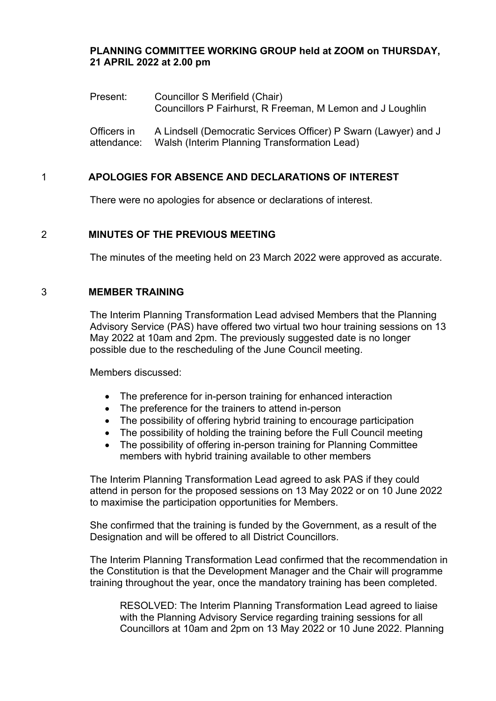## **PLANNING COMMITTEE WORKING GROUP held at ZOOM on THURSDAY, 21 APRIL 2022 at 2.00 pm**

Present: Councillor S Merifield (Chair) Councillors P Fairhurst, R Freeman, M Lemon and J Loughlin

Officers in attendance: A Lindsell (Democratic Services Officer) P Swarn (Lawyer) and J Walsh (Interim Planning Transformation Lead)

# 1 **APOLOGIES FOR ABSENCE AND DECLARATIONS OF INTEREST**

There were no apologies for absence or declarations of interest.

### 2 **MINUTES OF THE PREVIOUS MEETING**

The minutes of the meeting held on 23 March 2022 were approved as accurate.

### 3 **MEMBER TRAINING**

The Interim Planning Transformation Lead advised Members that the Planning Advisory Service (PAS) have offered two virtual two hour training sessions on 13 May 2022 at 10am and 2pm. The previously suggested date is no longer possible due to the rescheduling of the June Council meeting.

Members discussed:

- The preference for in-person training for enhanced interaction
- The preference for the trainers to attend in-person
- The possibility of offering hybrid training to encourage participation
- The possibility of holding the training before the Full Council meeting
- The possibility of offering in-person training for Planning Committee members with hybrid training available to other members

The Interim Planning Transformation Lead agreed to ask PAS if they could attend in person for the proposed sessions on 13 May 2022 or on 10 June 2022 to maximise the participation opportunities for Members.

She confirmed that the training is funded by the Government, as a result of the Designation and will be offered to all District Councillors.

The Interim Planning Transformation Lead confirmed that the recommendation in the Constitution is that the Development Manager and the Chair will programme training throughout the year, once the mandatory training has been completed.

RESOLVED: The Interim Planning Transformation Lead agreed to liaise with the Planning Advisory Service regarding training sessions for all Councillors at 10am and 2pm on 13 May 2022 or 10 June 2022. Planning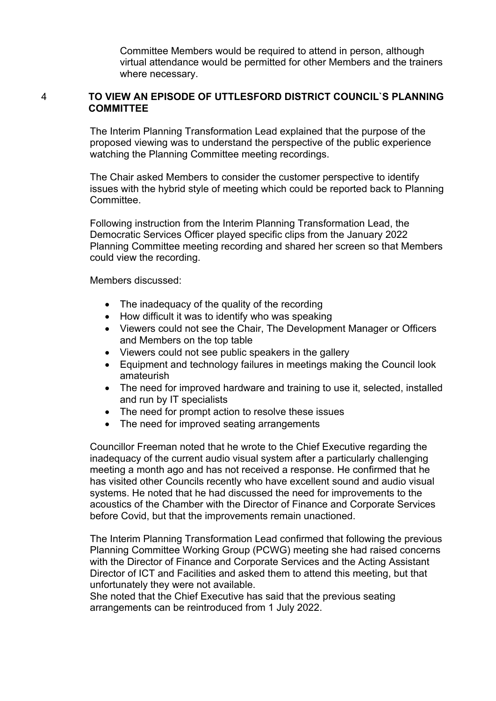Committee Members would be required to attend in person, although virtual attendance would be permitted for other Members and the trainers where necessary.

### 4 **TO VIEW AN EPISODE OF UTTLESFORD DISTRICT COUNCIL`S PLANNING COMMITTEE**

The Interim Planning Transformation Lead explained that the purpose of the proposed viewing was to understand the perspective of the public experience watching the Planning Committee meeting recordings.

The Chair asked Members to consider the customer perspective to identify issues with the hybrid style of meeting which could be reported back to Planning Committee.

Following instruction from the Interim Planning Transformation Lead, the Democratic Services Officer played specific clips from the January 2022 Planning Committee meeting recording and shared her screen so that Members could view the recording.

Members discussed:

- The inadequacy of the quality of the recording
- How difficult it was to identify who was speaking
- Viewers could not see the Chair, The Development Manager or Officers and Members on the top table
- Viewers could not see public speakers in the gallery
- Equipment and technology failures in meetings making the Council look amateurish
- The need for improved hardware and training to use it, selected, installed and run by IT specialists
- The need for prompt action to resolve these issues
- The need for improved seating arrangements

Councillor Freeman noted that he wrote to the Chief Executive regarding the inadequacy of the current audio visual system after a particularly challenging meeting a month ago and has not received a response. He confirmed that he has visited other Councils recently who have excellent sound and audio visual systems. He noted that he had discussed the need for improvements to the acoustics of the Chamber with the Director of Finance and Corporate Services before Covid, but that the improvements remain unactioned.

The Interim Planning Transformation Lead confirmed that following the previous Planning Committee Working Group (PCWG) meeting she had raised concerns with the Director of Finance and Corporate Services and the Acting Assistant Director of ICT and Facilities and asked them to attend this meeting, but that unfortunately they were not available.

She noted that the Chief Executive has said that the previous seating arrangements can be reintroduced from 1 July 2022.